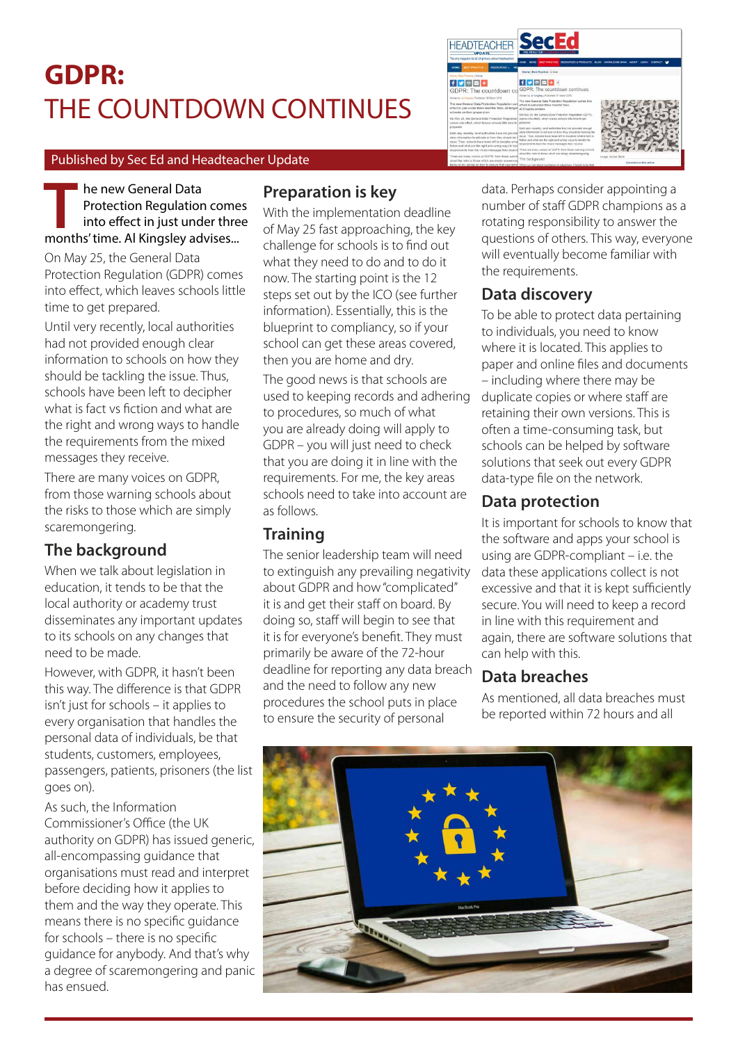# **GDPR:**  THE COUNTDOWN CONTINUES

#### Published by Sec Ed and Headteacher Update

he new General Data Protection Regulation comes into effect in just under three **Example 18 he new General Data**<br>Protection Regulation come<br>into effect in just under thre<br>months' time. Al Kingsley advises...

On May 25, the General Data Protection Regulation (GDPR) comes into effect, which leaves schools little time to get prepared.

Until very recently, local authorities had not provided enough clear information to schools on how they should be tackling the issue. Thus, schools have been left to decipher what is fact vs fiction and what are the right and wrong ways to handle the requirements from the mixed messages they receive.

There are many voices on GDPR, from those warning schools about the risks to those which are simply scaremongering.

## **The background**

When we talk about legislation in education, it tends to be that the local authority or academy trust disseminates any important updates to its schools on any changes that need to be made.

However, with GDPR, it hasn't been this way. The difference is that GDPR isn't just for schools – it applies to every organisation that handles the personal data of individuals, be that students, customers, employees, passengers, patients, prisoners (the list goes on).

As such, the Information Commissioner's Office (the UK authority on GDPR) has issued generic, all-encompassing guidance that organisations must read and interpret before deciding how it applies to them and the way they operate. This means there is no specific guidance for schools – there is no specific guidance for anybody. And that's why a degree of scaremongering and panic has ensued.

## **Preparation is key**

With the implementation deadline of May 25 fast approaching, the key challenge for schools is to find out what they need to do and to do it now. The starting point is the 12 steps set out by the ICO (see further information). Essentially, this is the blueprint to compliancy, so if your school can get these areas covered, then you are home and dry.

The good news is that schools are used to keeping records and adhering to procedures, so much of what you are already doing will apply to GDPR – you will just need to check that you are doing it in line with the requirements. For me, the key areas schools need to take into account are as follows.

## **Training**

The senior leadership team will need to extinguish any prevailing negativity about GDPR and how "complicated" it is and get their staff on board. By doing so, staff will begin to see that it is for everyone's benefit. They must primarily be aware of the 72-hour deadline for reporting any data breach and the need to follow any new procedures the school puts in place to ensure the security of personal

data. Perhaps consider appointing a number of staff GDPR champions as a rotating responsibility to answer the questions of others. This way, everyone will eventually become familiar with the requirements.

### **Data discovery**

To be able to protect data pertaining to individuals, you need to know where it is located. This applies to paper and online files and documents – including where there may be duplicate copies or where staff are retaining their own versions. This is often a time-consuming task, but schools can be helped by software solutions that seek out every GDPR data-type file on the network.

#### **Data protection**

It is important for schools to know that the software and apps your school is using are GDPR-compliant – i.e. the data these applications collect is not excessive and that it is kept sufficiently secure. You will need to keep a record in line with this requirement and again, there are software solutions that can help with this.

#### **Data breaches**

As mentioned, all data breaches must be reported within 72 hours and all